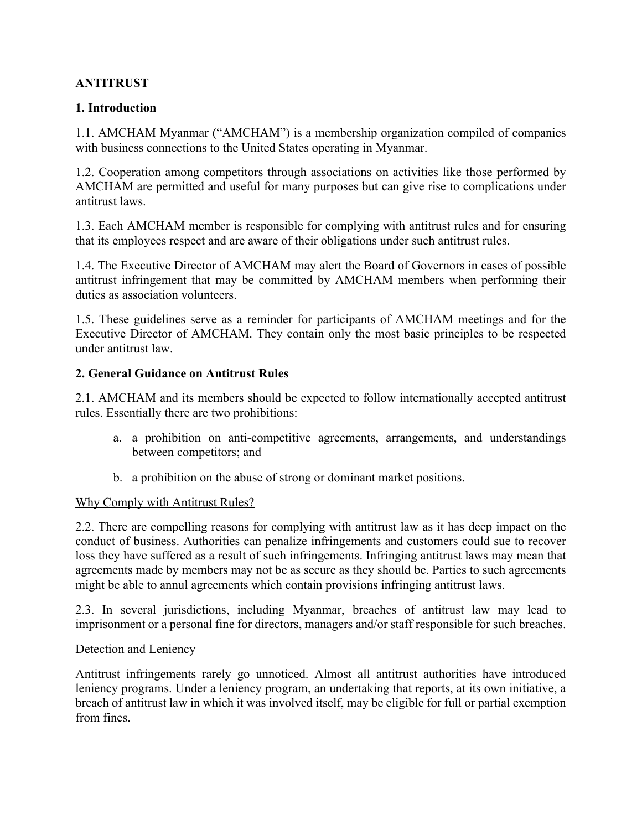## **ANTITRUST**

### **1. Introduction**

1.1. AMCHAM Myanmar ("AMCHAM") is a membership organization compiled of companies with business connections to the United States operating in Myanmar.

1.2. Cooperation among competitors through associations on activities like those performed by AMCHAM are permitted and useful for many purposes but can give rise to complications under antitrust laws.

1.3. Each AMCHAM member is responsible for complying with antitrust rules and for ensuring that its employees respect and are aware of their obligations under such antitrust rules.

1.4. The Executive Director of AMCHAM may alert the Board of Governors in cases of possible antitrust infringement that may be committed by AMCHAM members when performing their duties as association volunteers.

1.5. These guidelines serve as a reminder for participants of AMCHAM meetings and for the Executive Director of AMCHAM. They contain only the most basic principles to be respected under antitrust law.

#### **2. General Guidance on Antitrust Rules**

2.1. AMCHAM and its members should be expected to follow internationally accepted antitrust rules. Essentially there are two prohibitions:

- a. a prohibition on anti-competitive agreements, arrangements, and understandings between competitors; and
- b. a prohibition on the abuse of strong or dominant market positions.

#### Why Comply with Antitrust Rules?

2.2. There are compelling reasons for complying with antitrust law as it has deep impact on the conduct of business. Authorities can penalize infringements and customers could sue to recover loss they have suffered as a result of such infringements. Infringing antitrust laws may mean that agreements made by members may not be as secure as they should be. Parties to such agreements might be able to annul agreements which contain provisions infringing antitrust laws.

2.3. In several jurisdictions, including Myanmar, breaches of antitrust law may lead to imprisonment or a personal fine for directors, managers and/or staff responsible for such breaches.

#### Detection and Leniency

Antitrust infringements rarely go unnoticed. Almost all antitrust authorities have introduced leniency programs. Under a leniency program, an undertaking that reports, at its own initiative, a breach of antitrust law in which it was involved itself, may be eligible for full or partial exemption from fines.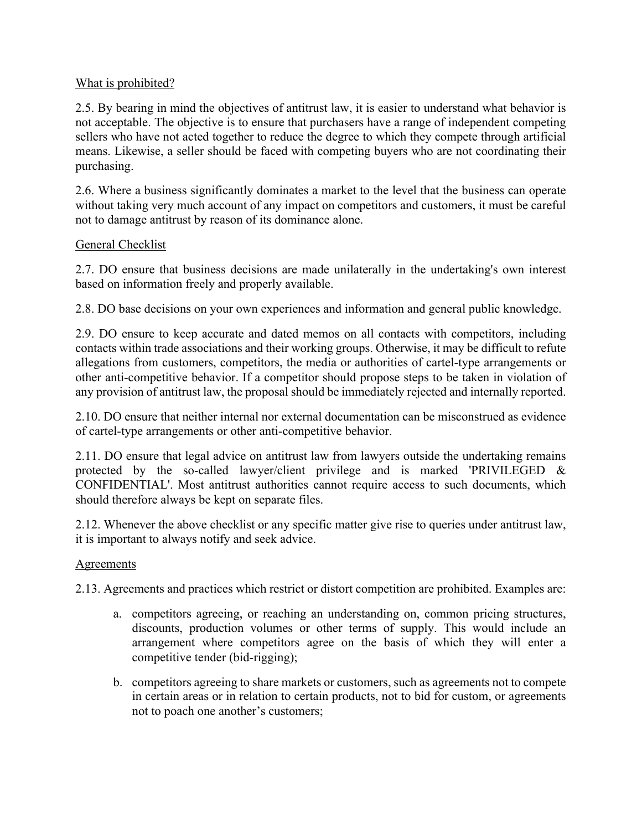### What is prohibited?

2.5. By bearing in mind the objectives of antitrust law, it is easier to understand what behavior is not acceptable. The objective is to ensure that purchasers have a range of independent competing sellers who have not acted together to reduce the degree to which they compete through artificial means. Likewise, a seller should be faced with competing buyers who are not coordinating their purchasing.

2.6. Where a business significantly dominates a market to the level that the business can operate without taking very much account of any impact on competitors and customers, it must be careful not to damage antitrust by reason of its dominance alone.

### General Checklist

2.7. DO ensure that business decisions are made unilaterally in the undertaking's own interest based on information freely and properly available.

2.8. DO base decisions on your own experiences and information and general public knowledge.

2.9. DO ensure to keep accurate and dated memos on all contacts with competitors, including contacts within trade associations and their working groups. Otherwise, it may be difficult to refute allegations from customers, competitors, the media or authorities of cartel-type arrangements or other anti-competitive behavior. If a competitor should propose steps to be taken in violation of any provision of antitrust law, the proposal should be immediately rejected and internally reported.

2.10. DO ensure that neither internal nor external documentation can be misconstrued as evidence of cartel-type arrangements or other anti-competitive behavior.

2.11. DO ensure that legal advice on antitrust law from lawyers outside the undertaking remains protected by the so-called lawyer/client privilege and is marked 'PRIVILEGED & CONFIDENTIAL'. Most antitrust authorities cannot require access to such documents, which should therefore always be kept on separate files.

2.12. Whenever the above checklist or any specific matter give rise to queries under antitrust law, it is important to always notify and seek advice.

## Agreements

2.13. Agreements and practices which restrict or distort competition are prohibited. Examples are:

- a. competitors agreeing, or reaching an understanding on, common pricing structures, discounts, production volumes or other terms of supply. This would include an arrangement where competitors agree on the basis of which they will enter a competitive tender (bid-rigging);
- b. competitors agreeing to share markets or customers, such as agreements not to compete in certain areas or in relation to certain products, not to bid for custom, or agreements not to poach one another's customers;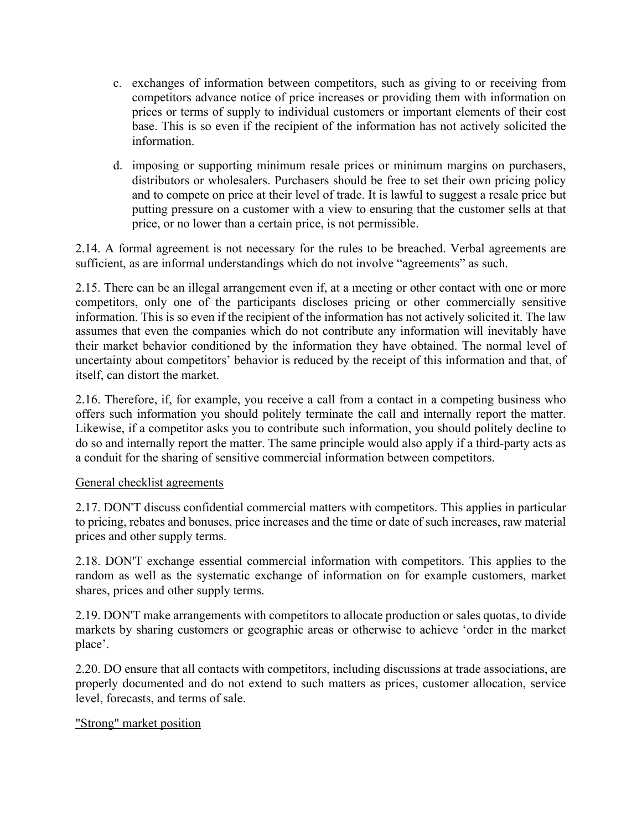- c. exchanges of information between competitors, such as giving to or receiving from competitors advance notice of price increases or providing them with information on prices or terms of supply to individual customers or important elements of their cost base. This is so even if the recipient of the information has not actively solicited the information.
- d. imposing or supporting minimum resale prices or minimum margins on purchasers, distributors or wholesalers. Purchasers should be free to set their own pricing policy and to compete on price at their level of trade. It is lawful to suggest a resale price but putting pressure on a customer with a view to ensuring that the customer sells at that price, or no lower than a certain price, is not permissible.

2.14. A formal agreement is not necessary for the rules to be breached. Verbal agreements are sufficient, as are informal understandings which do not involve "agreements" as such.

2.15. There can be an illegal arrangement even if, at a meeting or other contact with one or more competitors, only one of the participants discloses pricing or other commercially sensitive information. This is so even if the recipient of the information has not actively solicited it. The law assumes that even the companies which do not contribute any information will inevitably have their market behavior conditioned by the information they have obtained. The normal level of uncertainty about competitors' behavior is reduced by the receipt of this information and that, of itself, can distort the market.

2.16. Therefore, if, for example, you receive a call from a contact in a competing business who offers such information you should politely terminate the call and internally report the matter. Likewise, if a competitor asks you to contribute such information, you should politely decline to do so and internally report the matter. The same principle would also apply if a third-party acts as a conduit for the sharing of sensitive commercial information between competitors.

#### General checklist agreements

2.17. DON'T discuss confidential commercial matters with competitors. This applies in particular to pricing, rebates and bonuses, price increases and the time or date of such increases, raw material prices and other supply terms.

2.18. DON'T exchange essential commercial information with competitors. This applies to the random as well as the systematic exchange of information on for example customers, market shares, prices and other supply terms.

2.19. DON'T make arrangements with competitors to allocate production or sales quotas, to divide markets by sharing customers or geographic areas or otherwise to achieve 'order in the market place'.

2.20. DO ensure that all contacts with competitors, including discussions at trade associations, are properly documented and do not extend to such matters as prices, customer allocation, service level, forecasts, and terms of sale.

#### "Strong" market position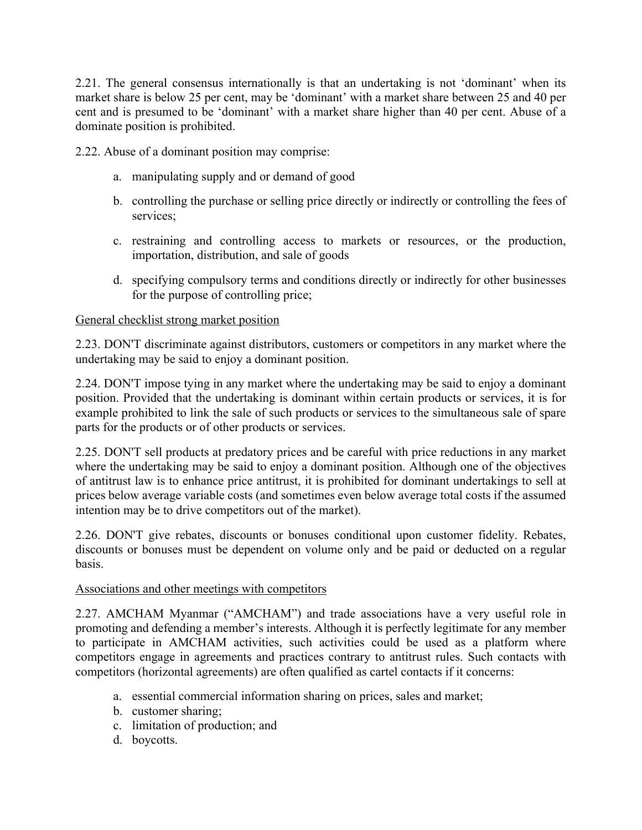2.21. The general consensus internationally is that an undertaking is not 'dominant' when its market share is below 25 per cent, may be 'dominant' with a market share between 25 and 40 per cent and is presumed to be 'dominant' with a market share higher than 40 per cent. Abuse of a dominate position is prohibited.

2.22. Abuse of a dominant position may comprise:

- a. manipulating supply and or demand of good
- b. controlling the purchase or selling price directly or indirectly or controlling the fees of services;
- c. restraining and controlling access to markets or resources, or the production, importation, distribution, and sale of goods
- d. specifying compulsory terms and conditions directly or indirectly for other businesses for the purpose of controlling price;

#### General checklist strong market position

2.23. DON'T discriminate against distributors, customers or competitors in any market where the undertaking may be said to enjoy a dominant position.

2.24. DON'T impose tying in any market where the undertaking may be said to enjoy a dominant position. Provided that the undertaking is dominant within certain products or services, it is for example prohibited to link the sale of such products or services to the simultaneous sale of spare parts for the products or of other products or services.

2.25. DON'T sell products at predatory prices and be careful with price reductions in any market where the undertaking may be said to enjoy a dominant position. Although one of the objectives of antitrust law is to enhance price antitrust, it is prohibited for dominant undertakings to sell at prices below average variable costs (and sometimes even below average total costs if the assumed intention may be to drive competitors out of the market).

2.26. DON'T give rebates, discounts or bonuses conditional upon customer fidelity. Rebates, discounts or bonuses must be dependent on volume only and be paid or deducted on a regular basis.

#### Associations and other meetings with competitors

2.27. AMCHAM Myanmar ("AMCHAM") and trade associations have a very useful role in promoting and defending a member's interests. Although it is perfectly legitimate for any member to participate in AMCHAM activities, such activities could be used as a platform where competitors engage in agreements and practices contrary to antitrust rules. Such contacts with competitors (horizontal agreements) are often qualified as cartel contacts if it concerns:

- a. essential commercial information sharing on prices, sales and market;
- b. customer sharing;
- c. limitation of production; and
- d. boycotts.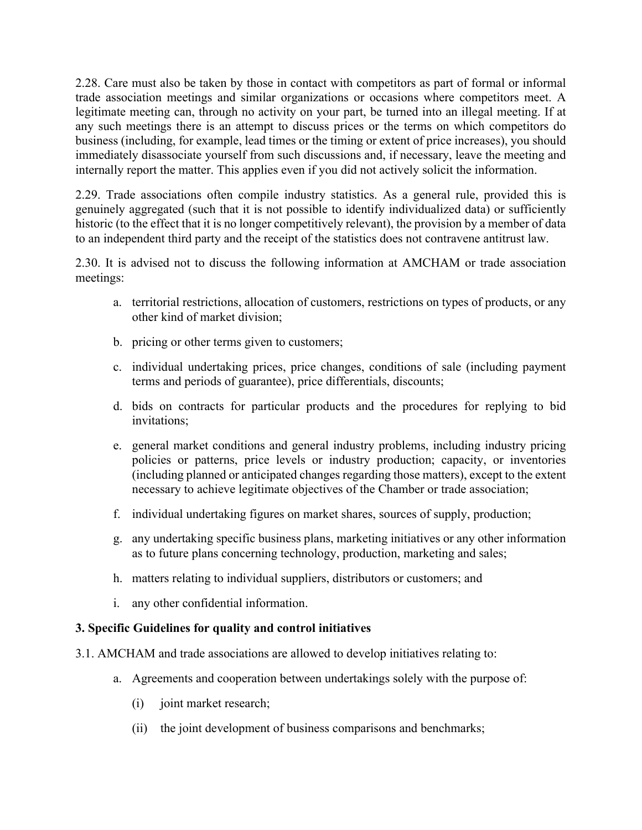2.28. Care must also be taken by those in contact with competitors as part of formal or informal trade association meetings and similar organizations or occasions where competitors meet. A legitimate meeting can, through no activity on your part, be turned into an illegal meeting. If at any such meetings there is an attempt to discuss prices or the terms on which competitors do business (including, for example, lead times or the timing or extent of price increases), you should immediately disassociate yourself from such discussions and, if necessary, leave the meeting and internally report the matter. This applies even if you did not actively solicit the information.

2.29. Trade associations often compile industry statistics. As a general rule, provided this is genuinely aggregated (such that it is not possible to identify individualized data) or sufficiently historic (to the effect that it is no longer competitively relevant), the provision by a member of data to an independent third party and the receipt of the statistics does not contravene antitrust law.

2.30. It is advised not to discuss the following information at AMCHAM or trade association meetings:

- a. territorial restrictions, allocation of customers, restrictions on types of products, or any other kind of market division;
- b. pricing or other terms given to customers;
- c. individual undertaking prices, price changes, conditions of sale (including payment terms and periods of guarantee), price differentials, discounts;
- d. bids on contracts for particular products and the procedures for replying to bid invitations;
- e. general market conditions and general industry problems, including industry pricing policies or patterns, price levels or industry production; capacity, or inventories (including planned or anticipated changes regarding those matters), except to the extent necessary to achieve legitimate objectives of the Chamber or trade association;
- f. individual undertaking figures on market shares, sources of supply, production;
- g. any undertaking specific business plans, marketing initiatives or any other information as to future plans concerning technology, production, marketing and sales;
- h. matters relating to individual suppliers, distributors or customers; and
- i. any other confidential information.

## **3. Specific Guidelines for quality and control initiatives**

- 3.1. AMCHAM and trade associations are allowed to develop initiatives relating to:
	- a. Agreements and cooperation between undertakings solely with the purpose of:
		- (i) joint market research;
		- (ii) the joint development of business comparisons and benchmarks;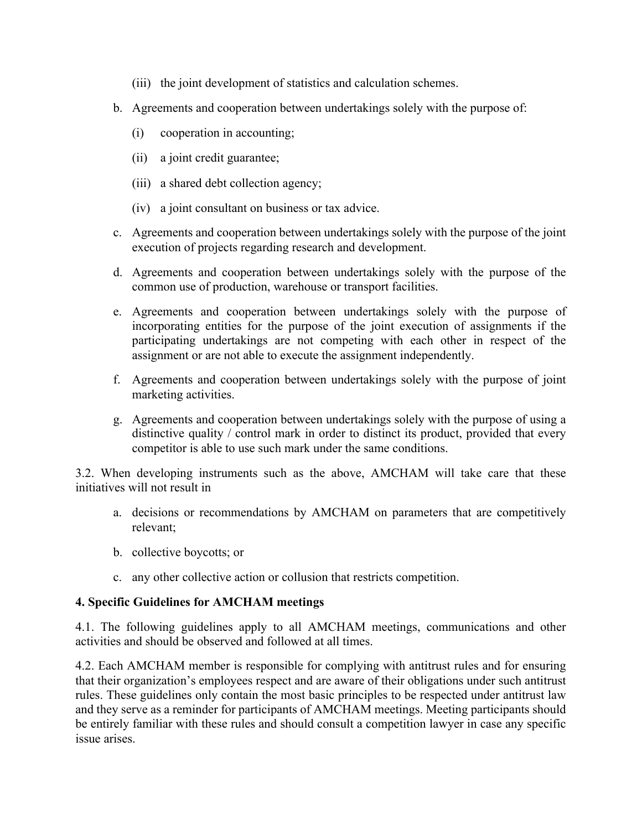- (iii) the joint development of statistics and calculation schemes.
- b. Agreements and cooperation between undertakings solely with the purpose of:
	- (i) cooperation in accounting;
	- (ii) a joint credit guarantee;
	- (iii) a shared debt collection agency;
	- (iv) a joint consultant on business or tax advice.
- c. Agreements and cooperation between undertakings solely with the purpose of the joint execution of projects regarding research and development.
- d. Agreements and cooperation between undertakings solely with the purpose of the common use of production, warehouse or transport facilities.
- e. Agreements and cooperation between undertakings solely with the purpose of incorporating entities for the purpose of the joint execution of assignments if the participating undertakings are not competing with each other in respect of the assignment or are not able to execute the assignment independently.
- f. Agreements and cooperation between undertakings solely with the purpose of joint marketing activities.
- g. Agreements and cooperation between undertakings solely with the purpose of using a distinctive quality / control mark in order to distinct its product, provided that every competitor is able to use such mark under the same conditions.

3.2. When developing instruments such as the above, AMCHAM will take care that these initiatives will not result in

- a. decisions or recommendations by AMCHAM on parameters that are competitively relevant;
- b. collective boycotts; or
- c. any other collective action or collusion that restricts competition.

#### **4. Specific Guidelines for AMCHAM meetings**

4.1. The following guidelines apply to all AMCHAM meetings, communications and other activities and should be observed and followed at all times.

4.2. Each AMCHAM member is responsible for complying with antitrust rules and for ensuring that their organization's employees respect and are aware of their obligations under such antitrust rules. These guidelines only contain the most basic principles to be respected under antitrust law and they serve as a reminder for participants of AMCHAM meetings. Meeting participants should be entirely familiar with these rules and should consult a competition lawyer in case any specific issue arises.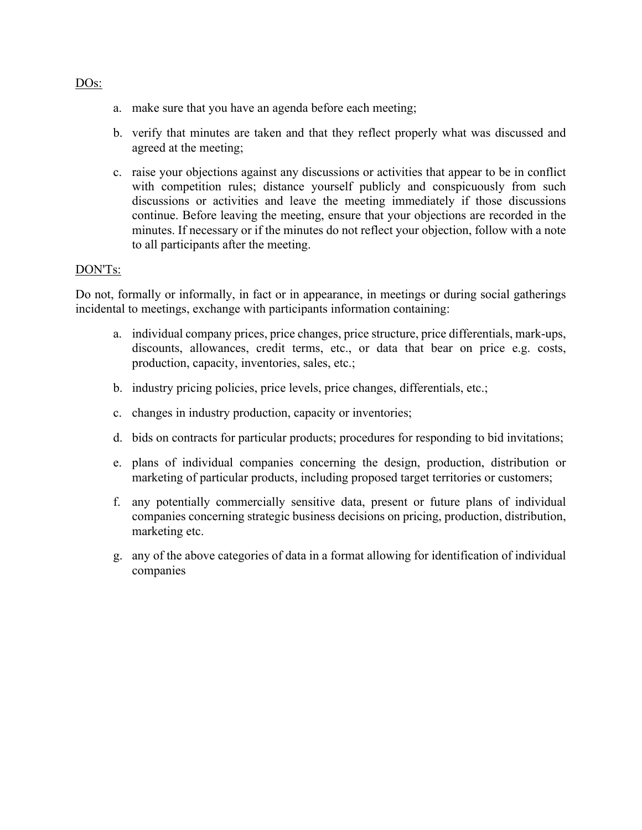- a. make sure that you have an agenda before each meeting;
- b. verify that minutes are taken and that they reflect properly what was discussed and agreed at the meeting;
- c. raise your objections against any discussions or activities that appear to be in conflict with competition rules; distance yourself publicly and conspicuously from such discussions or activities and leave the meeting immediately if those discussions continue. Before leaving the meeting, ensure that your objections are recorded in the minutes. If necessary or if the minutes do not reflect your objection, follow with a note to all participants after the meeting.

#### DON'Ts:

Do not, formally or informally, in fact or in appearance, in meetings or during social gatherings incidental to meetings, exchange with participants information containing:

- a. individual company prices, price changes, price structure, price differentials, mark-ups, discounts, allowances, credit terms, etc., or data that bear on price e.g. costs, production, capacity, inventories, sales, etc.;
- b. industry pricing policies, price levels, price changes, differentials, etc.;
- c. changes in industry production, capacity or inventories;
- d. bids on contracts for particular products; procedures for responding to bid invitations;
- e. plans of individual companies concerning the design, production, distribution or marketing of particular products, including proposed target territories or customers;
- f. any potentially commercially sensitive data, present or future plans of individual companies concerning strategic business decisions on pricing, production, distribution, marketing etc.
- g. any of the above categories of data in a format allowing for identification of individual companies